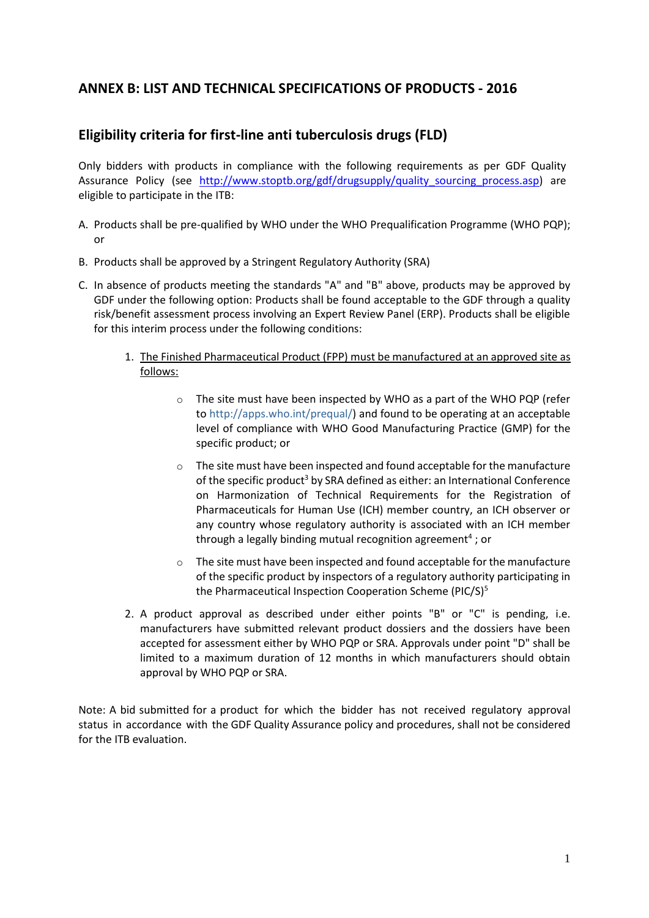## **ANNEX B: LIST AND TECHNICAL SPECIFICATIONS OF PRODUCTS - 2016**

## **Eligibility criteria for first-line anti tuberculosis drugs (FLD)**

Only bidders with products in compliance with the following requirements as per GDF Quality Assurance Policy (see http://www.stoptb.org/gdf/drugsupply/quality sourcing process.asp) are eligible to participate in the ITB:

- A. Products shall be pre-qualified by WHO under the WHO Prequalification Programme (WHO PQP); or
- B. Products shall be approved by a Stringent Regulatory Authority (SRA)
- C. In absence of products meeting the standards "A" and "B" above, products may be approved by GDF under the following option: Products shall be found acceptable to the GDF through a quality risk/benefit assessment process involving an Expert Review Panel (ERP). Products shall be eligible for this interim process under the following conditions:
	- 1. The Finished Pharmaceutical Product (FPP) must be manufactured at an approved site as follows:
		- o The site must have been inspected by WHO as a part of the WHO PQP (refer to [http://apps.who.int/prequal/\)](http://apps.who.int/prequal/) and found to be operating at an acceptable level of compliance with WHO Good Manufacturing Practice (GMP) for the specific product; or
		- o The site must have been inspected and found acceptable for the manufacture of the specific product<sup>3</sup> by SRA defined as either: an International Conference on Harmonization of Technical Requirements for the Registration of Pharmaceuticals for Human Use (ICH) member country, an ICH observer or any country whose regulatory authority is associated with an ICH member through a legally binding mutual recognition agreement<sup>4</sup>; or
		- The site must have been inspected and found acceptable for the manufacture of the specific product by inspectors of a regulatory authority participating in the Pharmaceutical Inspection Cooperation Scheme (PIC/S)<sup>5</sup>
	- 2. A product approval as described under either points "B" or "C" is pending, i.e. manufacturers have submitted relevant product dossiers and the dossiers have been accepted for assessment either by WHO PQP or SRA. Approvals under point "D" shall be limited to a maximum duration of 12 months in which manufacturers should obtain approval by WHO PQP or SRA.

Note: A bid submitted for a product for which the bidder has not received regulatory approval status in accordance with the GDF Quality Assurance policy and procedures, shall not be considered for the ITB evaluation.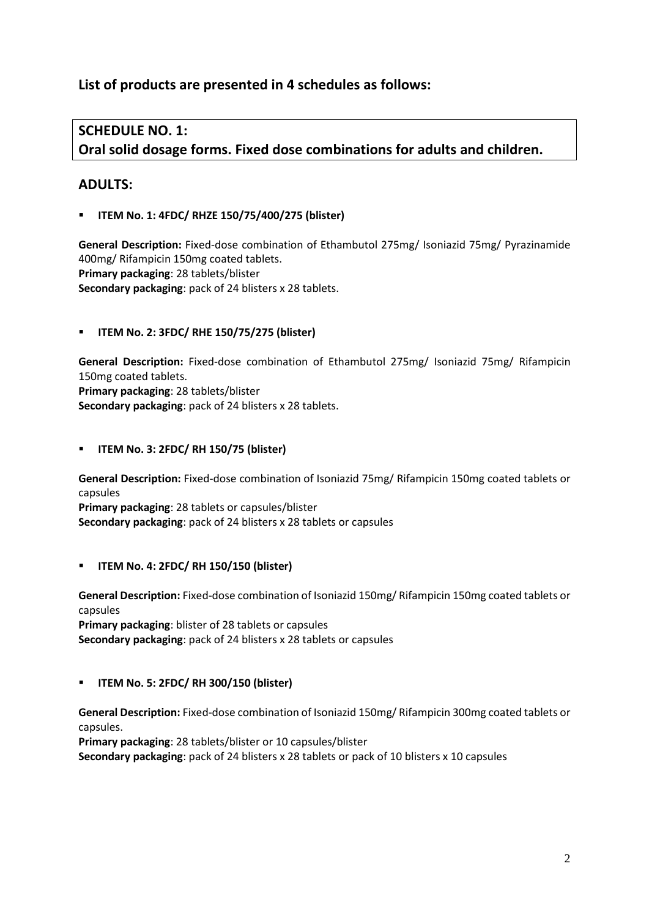# **List of products are presented in 4 schedules as follows:**

# **SCHEDULE NO. 1: Oral solid dosage forms. Fixed dose combinations for adults and children.**

## **ADULTS:**

**ITEM No. 1: 4FDC/ RHZE 150/75/400/275 (blister)**

**General Description:** Fixed-dose combination of Ethambutol 275mg/ Isoniazid 75mg/ Pyrazinamide 400mg/ Rifampicin 150mg coated tablets. **Primary packaging**: 28 tablets/blister **Secondary packaging**: pack of 24 blisters x 28 tablets.

### **ITEM No. 2: 3FDC/ RHE 150/75/275 (blister)**

**General Description:** Fixed-dose combination of Ethambutol 275mg/ Isoniazid 75mg/ Rifampicin 150mg coated tablets. **Primary packaging**: 28 tablets/blister **Secondary packaging**: pack of 24 blisters x 28 tablets.

#### **ITEM No. 3: 2FDC/ RH 150/75 (blister)**

**General Description:** Fixed-dose combination of Isoniazid 75mg/ Rifampicin 150mg coated tablets or capsules **Primary packaging**: 28 tablets or capsules/blister

**Secondary packaging**: pack of 24 blisters x 28 tablets or capsules

### **ITEM No. 4: 2FDC/ RH 150/150 (blister)**

**General Description:** Fixed-dose combination of Isoniazid 150mg/ Rifampicin 150mg coated tablets or capsules

**Primary packaging**: blister of 28 tablets or capsules **Secondary packaging**: pack of 24 blisters x 28 tablets or capsules

**ITEM No. 5: 2FDC/ RH 300/150 (blister)**

**General Description:** Fixed-dose combination of Isoniazid 150mg/ Rifampicin 300mg coated tablets or capsules.

**Primary packaging**: 28 tablets/blister or 10 capsules/blister

**Secondary packaging**: pack of 24 blisters x 28 tablets or pack of 10 blisters x 10 capsules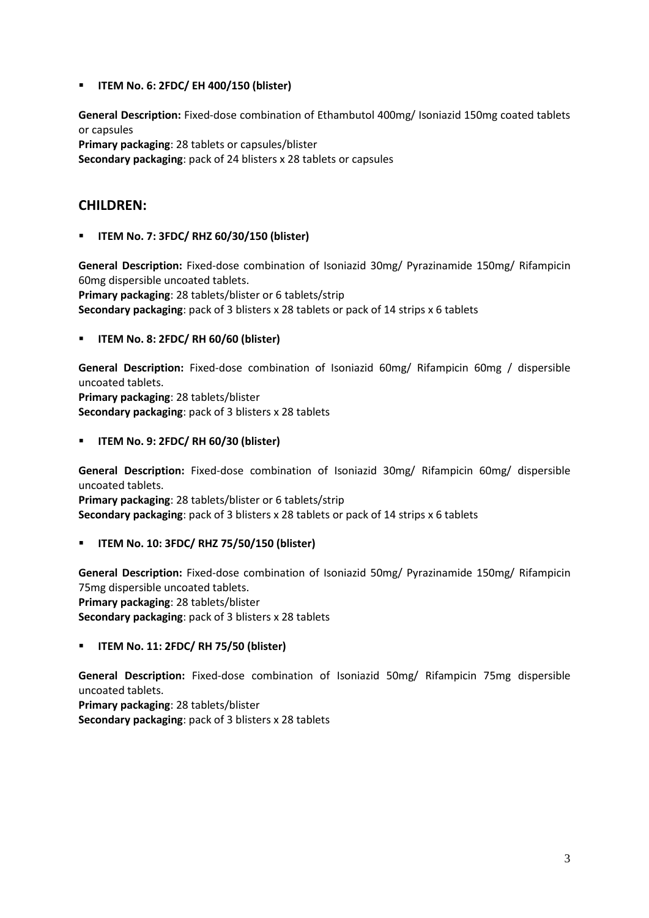**ITEM No. 6: 2FDC/ EH 400/150 (blister)**

**General Description:** Fixed-dose combination of Ethambutol 400mg/ Isoniazid 150mg coated tablets or capsules

**Primary packaging**: 28 tablets or capsules/blister **Secondary packaging**: pack of 24 blisters x 28 tablets or capsules

## **CHILDREN:**

**ITEM No. 7: 3FDC/ RHZ 60/30/150 (blister)**

**General Description:** Fixed-dose combination of Isoniazid 30mg/ Pyrazinamide 150mg/ Rifampicin 60mg dispersible uncoated tablets.

**Primary packaging**: 28 tablets/blister or 6 tablets/strip **Secondary packaging**: pack of 3 blisters x 28 tablets or pack of 14 strips x 6 tablets

### **ITEM No. 8: 2FDC/ RH 60/60 (blister)**

**General Description:** Fixed-dose combination of Isoniazid 60mg/ Rifampicin 60mg / dispersible uncoated tablets.

**Primary packaging**: 28 tablets/blister **Secondary packaging**: pack of 3 blisters x 28 tablets

**ITEM No. 9: 2FDC/ RH 60/30 (blister)**

**General Description:** Fixed-dose combination of Isoniazid 30mg/ Rifampicin 60mg/ dispersible uncoated tablets.

**Primary packaging**: 28 tablets/blister or 6 tablets/strip **Secondary packaging**: pack of 3 blisters x 28 tablets or pack of 14 strips x 6 tablets

### **ITEM No. 10: 3FDC/ RHZ 75/50/150 (blister)**

**General Description:** Fixed-dose combination of Isoniazid 50mg/ Pyrazinamide 150mg/ Rifampicin 75mg dispersible uncoated tablets. **Primary packaging**: 28 tablets/blister **Secondary packaging**: pack of 3 blisters x 28 tablets

### **ITEM No. 11: 2FDC/ RH 75/50 (blister)**

**General Description:** Fixed-dose combination of Isoniazid 50mg/ Rifampicin 75mg dispersible uncoated tablets.

**Primary packaging**: 28 tablets/blister **Secondary packaging**: pack of 3 blisters x 28 tablets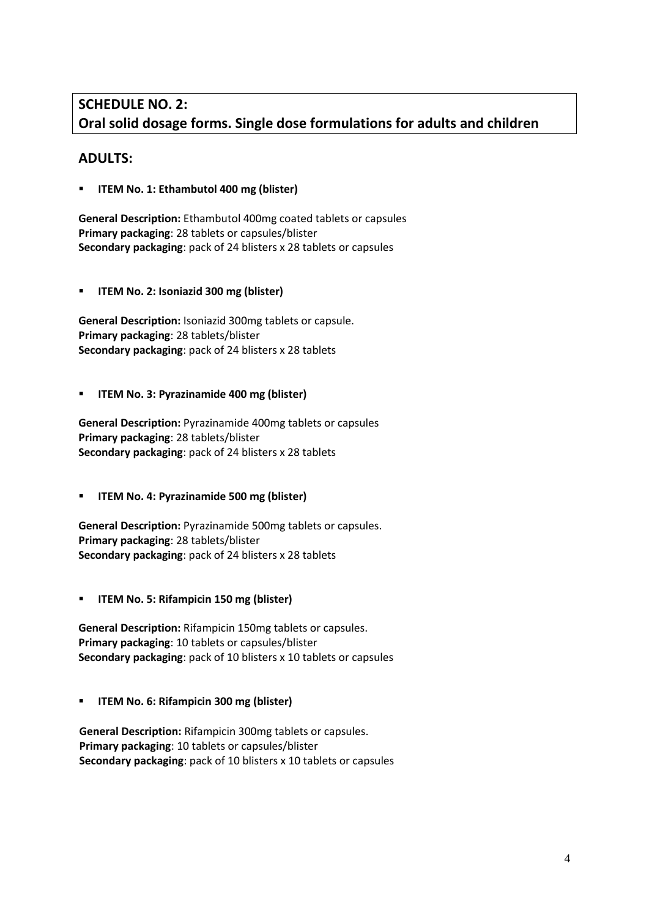# **SCHEDULE NO. 2: Oral solid dosage forms. Single dose formulations for adults and children**

## **ADULTS:**

**ITEM No. 1: Ethambutol 400 mg (blister)**

**General Description:** Ethambutol 400mg coated tablets or capsules **Primary packaging**: 28 tablets or capsules/blister **Secondary packaging**: pack of 24 blisters x 28 tablets or capsules

**ITEM No. 2: Isoniazid 300 mg (blister)**

**General Description:** Isoniazid 300mg tablets or capsule. **Primary packaging**: 28 tablets/blister **Secondary packaging**: pack of 24 blisters x 28 tablets

#### **ITEM No. 3: Pyrazinamide 400 mg (blister)**

**General Description:** Pyrazinamide 400mg tablets or capsules **Primary packaging**: 28 tablets/blister **Secondary packaging**: pack of 24 blisters x 28 tablets

**ITEM No. 4: Pyrazinamide 500 mg (blister)**

**General Description:** Pyrazinamide 500mg tablets or capsules. **Primary packaging**: 28 tablets/blister **Secondary packaging**: pack of 24 blisters x 28 tablets

**ITEM No. 5: Rifampicin 150 mg (blister)**

**General Description:** Rifampicin 150mg tablets or capsules. **Primary packaging**: 10 tablets or capsules/blister **Secondary packaging**: pack of 10 blisters x 10 tablets or capsules

**ITEM No. 6: Rifampicin 300 mg (blister)**

**General Description:** Rifampicin 300mg tablets or capsules. **Primary packaging**: 10 tablets or capsules/blister **Secondary packaging**: pack of 10 blisters x 10 tablets or capsules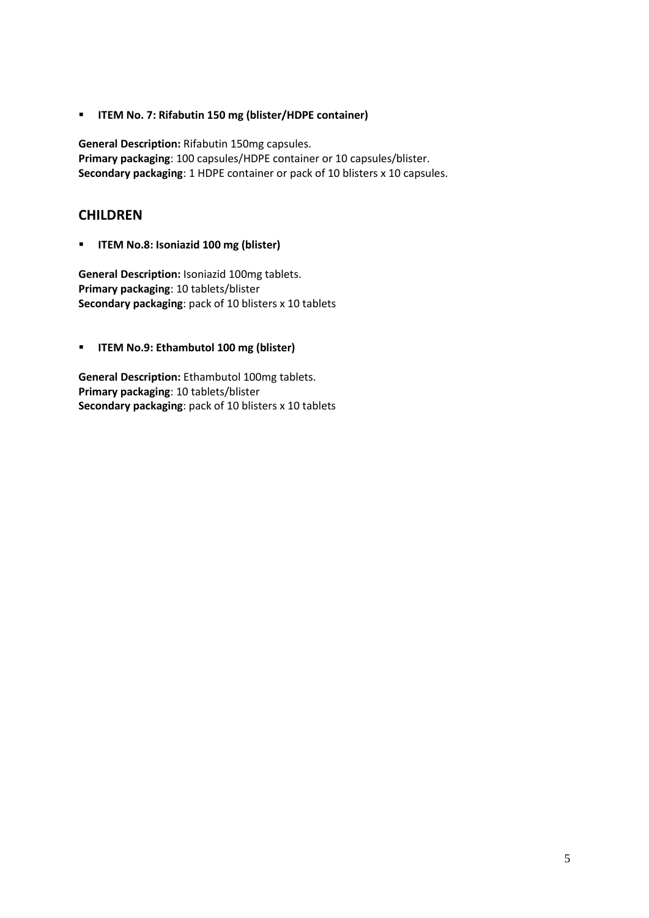**ITEM No. 7: Rifabutin 150 mg (blister/HDPE container)**

**General Description:** Rifabutin 150mg capsules. **Primary packaging**: 100 capsules/HDPE container or 10 capsules/blister. **Secondary packaging**: 1 HDPE container or pack of 10 blisters x 10 capsules.

## **CHILDREN**

**ITEM No.8: Isoniazid 100 mg (blister)**

**General Description:** Isoniazid 100mg tablets. **Primary packaging**: 10 tablets/blister **Secondary packaging**: pack of 10 blisters x 10 tablets

**ITEM No.9: Ethambutol 100 mg (blister)**

**General Description:** Ethambutol 100mg tablets. **Primary packaging**: 10 tablets/blister **Secondary packaging**: pack of 10 blisters x 10 tablets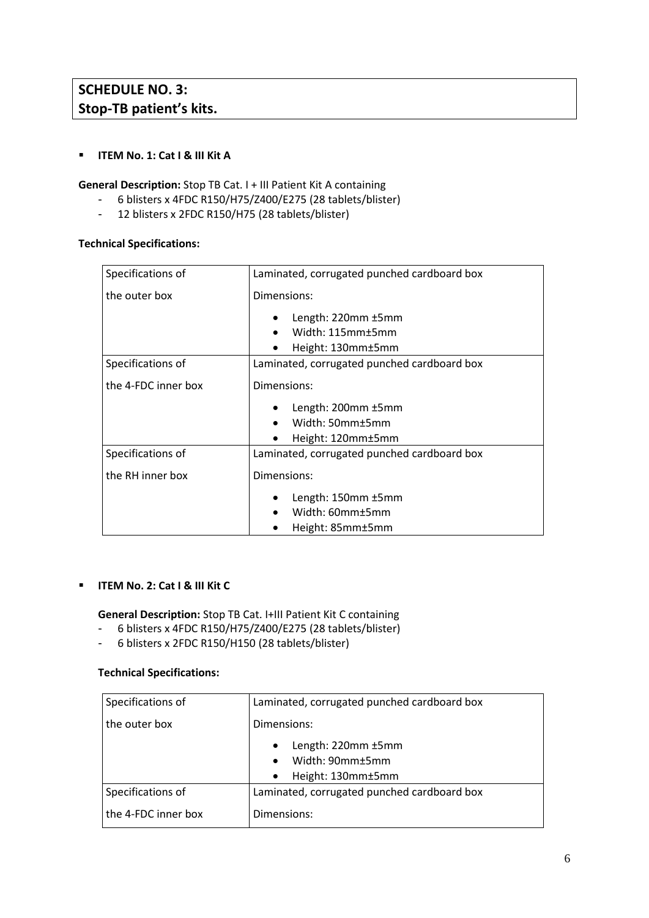### **ITEM No. 1: Cat I & III Kit A**

**General Description:** Stop TB Cat. I + III Patient Kit A containing

- 6 blisters x 4FDC R150/H75/Z400/E275 (28 tablets/blister)
- 12 blisters x 2FDC R150/H75 (28 tablets/blister)

#### **Technical Specifications:**

| Specifications of   | Laminated, corrugated punched cardboard box                 |
|---------------------|-------------------------------------------------------------|
| the outer box       | Dimensions:                                                 |
|                     | Length: 220mm ±5mm<br>Width: 115mm±5mm<br>Height: 130mm±5mm |
| Specifications of   | Laminated, corrugated punched cardboard box                 |
| the 4-FDC inner box | Dimensions:                                                 |
|                     | Length: 200mm ±5mm<br>Width: 50mm±5mm<br>Height: 120mm±5mm  |
| Specifications of   | Laminated, corrugated punched cardboard box                 |
| the RH inner box    | Dimensions:                                                 |
|                     | Length: 150mm ±5mm<br>Width: 60mm±5mm<br>Height: 85mm±5mm   |

#### **ITEM No. 2: Cat I & III Kit C**

**General Description:** Stop TB Cat. I+III Patient Kit C containing

- 6 blisters x 4FDC R150/H75/Z400/E275 (28 tablets/blister)
- 6 blisters x 2FDC R150/H150 (28 tablets/blister)

#### **Technical Specifications:**

| Specifications of   | Laminated, corrugated punched cardboard box                             |
|---------------------|-------------------------------------------------------------------------|
| the outer box       | Dimensions:                                                             |
|                     | Length: 220mm ±5mm<br>$\bullet$<br>Width: 90mm±5mm<br>Height: 130mm±5mm |
| Specifications of   | Laminated, corrugated punched cardboard box                             |
| the 4-FDC inner box | Dimensions:                                                             |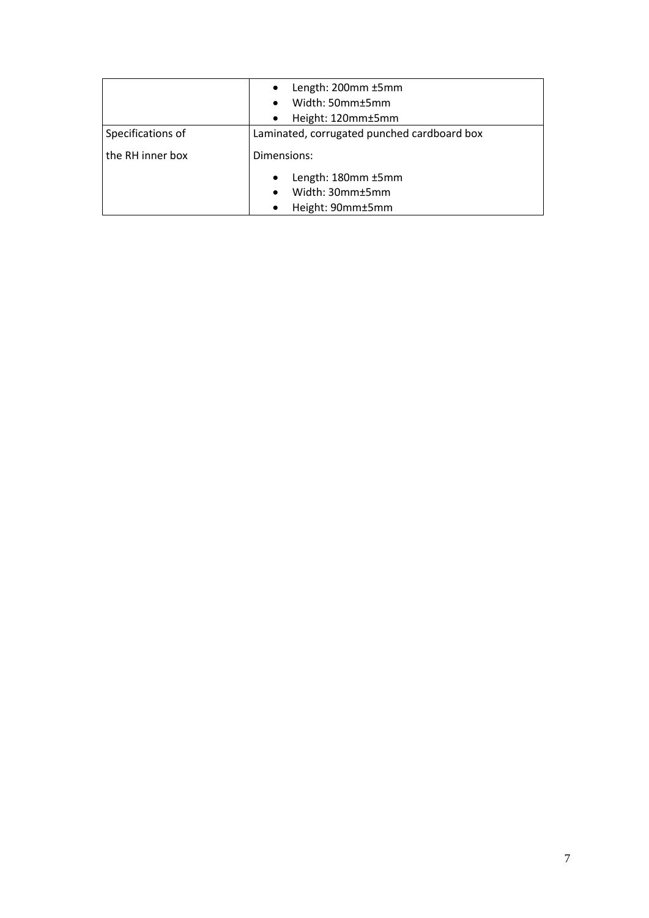|                   | Length: 200mm ±5mm                          |
|-------------------|---------------------------------------------|
|                   | Width: 50mm±5mm                             |
|                   | Height: 120mm±5mm                           |
| Specifications of | Laminated, corrugated punched cardboard box |
| the RH inner box  | Dimensions:                                 |
|                   | Length: 180mm ±5mm                          |
|                   | Width: 30mm±5mm                             |
|                   | Height: 90mm±5mm                            |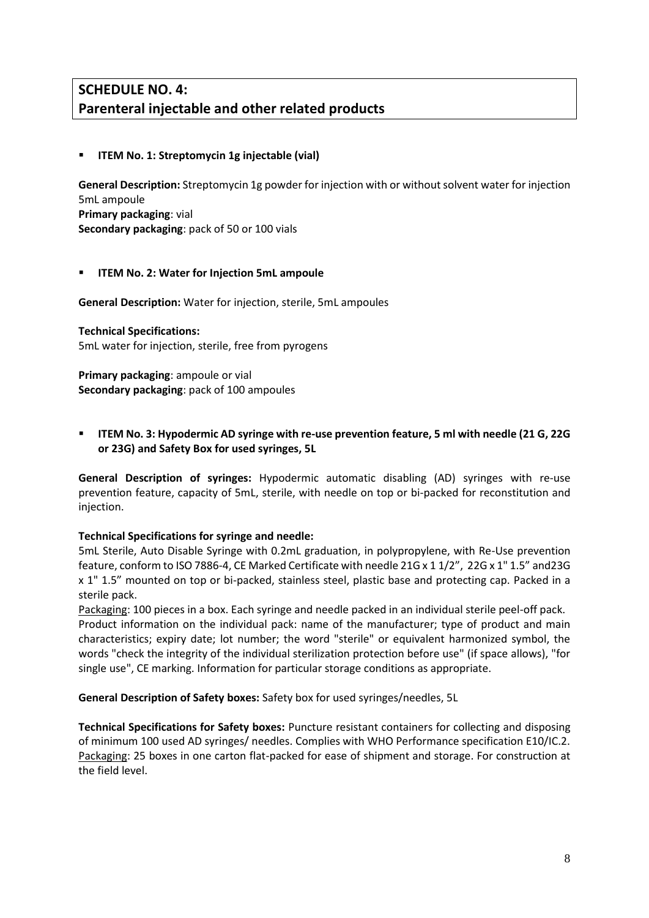# **SCHEDULE NO. 4: Parenteral injectable and other related products**

### **ITEM No. 1: Streptomycin 1g injectable (vial)**

**General Description:** Streptomycin 1g powder for injection with or without solvent water for injection 5mL ampoule **Primary packaging**: vial **Secondary packaging**: pack of 50 or 100 vials

## **ITEM No. 2: Water for Injection 5mL ampoule**

**General Description:** Water for injection, sterile, 5mL ampoules

## **Technical Specifications:**

5mL water for injection, sterile, free from pyrogens

**Primary packaging**: ampoule or vial **Secondary packaging**: pack of 100 ampoules

 **ITEM No. 3: Hypodermic AD syringe with re-use prevention feature, 5 ml with needle (21 G, 22G or 23G) and Safety Box for used syringes, 5L**

**General Description of syringes:** Hypodermic automatic disabling (AD) syringes with re-use prevention feature, capacity of 5mL, sterile, with needle on top or bi-packed for reconstitution and injection.

### **Technical Specifications for syringe and needle:**

5mL Sterile, Auto Disable Syringe with 0.2mL graduation, in polypropylene, with Re-Use prevention feature, conform to ISO 7886-4, CE Marked Certificate with needle 21G x 1 1/2", 22G x 1" 1.5" and23G x 1" 1.5" mounted on top or bi-packed, stainless steel, plastic base and protecting cap. Packed in a sterile pack.

Packaging: 100 pieces in a box. Each syringe and needle packed in an individual sterile peel-off pack. Product information on the individual pack: name of the manufacturer; type of product and main characteristics; expiry date; lot number; the word "sterile" or equivalent harmonized symbol, the words "check the integrity of the individual sterilization protection before use" (if space allows), "for single use", CE marking. Information for particular storage conditions as appropriate.

### **General Description of Safety boxes:** Safety box for used syringes/needles, 5L

**Technical Specifications for Safety boxes:** Puncture resistant containers for collecting and disposing of minimum 100 used AD syringes/ needles. Complies with WHO Performance specification E10/IC.2. Packaging: 25 boxes in one carton flat-packed for ease of shipment and storage. For construction at the field level.